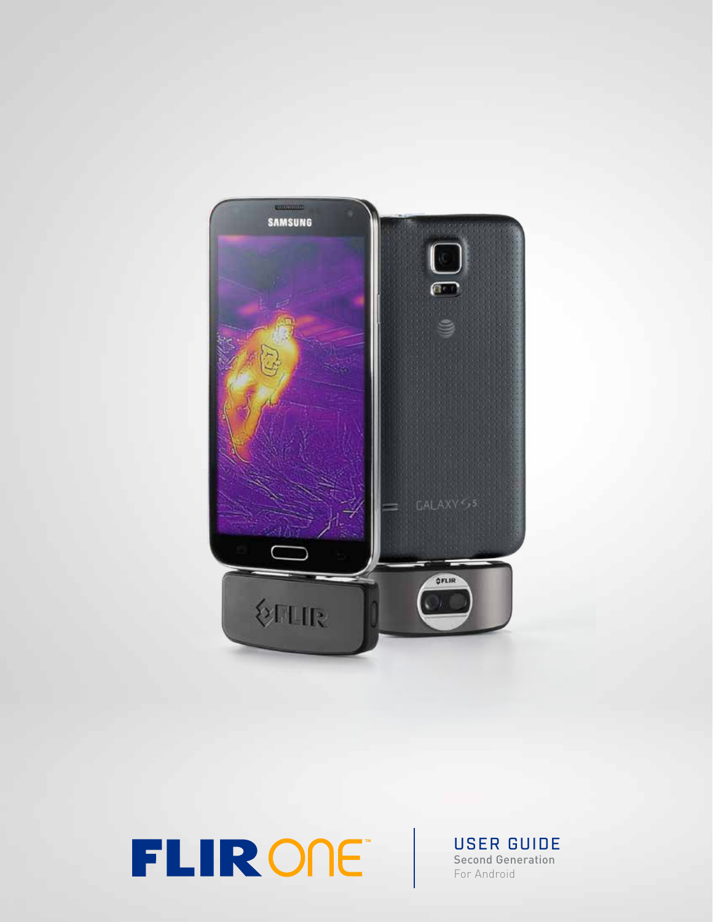

**TLIRONE** USER GUIDE

Second Generation For Android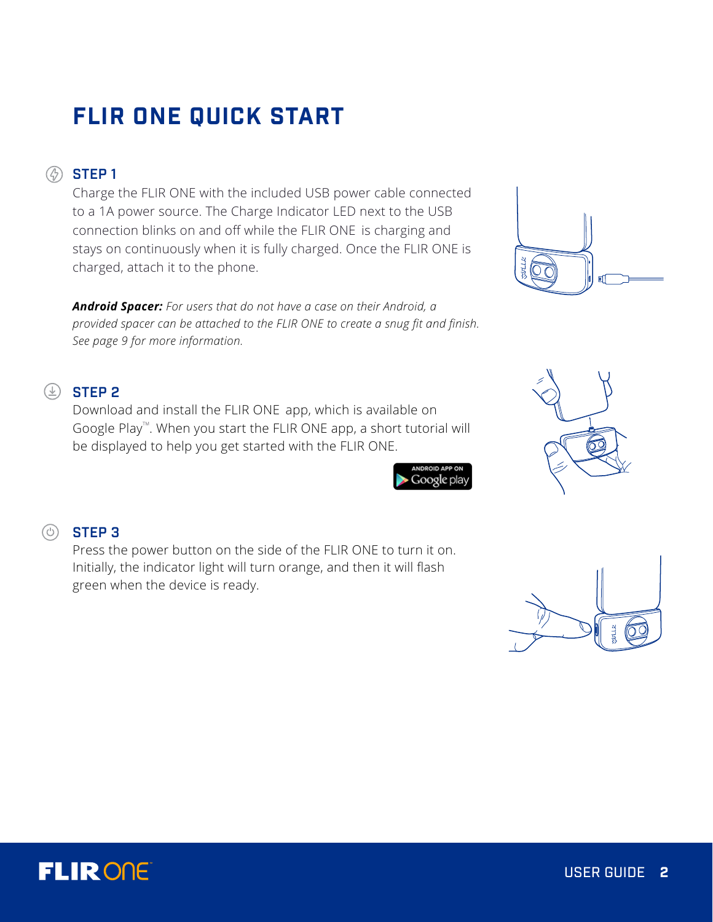# **FLIR ONE QUICK START**

## **<sup><sup>***A***</sup>** STEP 1</sup>

Charge the FLIR ONE with the included USB power cable connected to a 1A power source. The Charge Indicator LED next to the USB connection blinks on and off while the FLIR ONE is charging and stays on continuously when it is fully charged. Once the FLIR ONE is charged, attach it to the phone.

*Android Spacer: For users that do not have a case on their Android, a provided spacer can be attached to the FLIR ONE to create a snug fit and finish. See page 9 for more information.* 

## $\circledcirc$  STEP 2

Download and install the FLIR ONE app, which is available on Google Play<sup> $M$ </sup>. When you start the FLIR ONE app, a short tutorial will be displayed to help you get started with the FLIR ONE.







# $\circledcirc$  STEP 3

Press the power button on the side of the FLIR ONE to turn it on. Initially, the indicator light will turn orange, and then it will flash green when the device is ready.

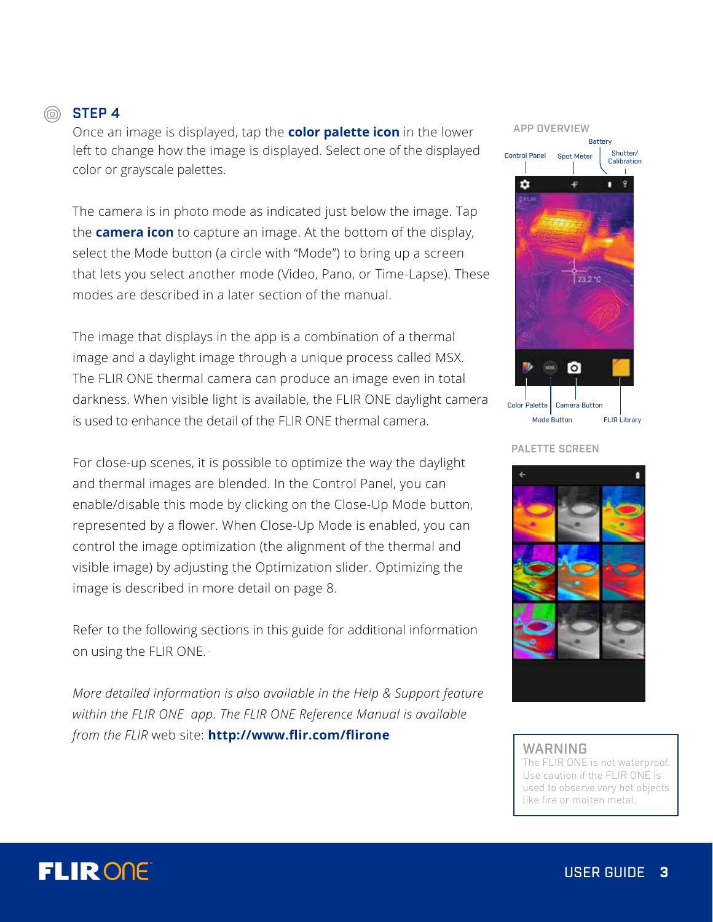## STEP 4

Once an image is displayed, tap the **color palette icon** in the lower left to change how the image is displayed. Select one of the displayed color or grayscale palettes.

The camera is in photo mode as indicated just below the image. Tap the **camera icon** to capture an image. At the bottom of the display, select the Mode button (a circle with "Mode") to bring up a screen that lets you select another mode (Video, Pano, or Time-Lapse). These modes are described in a later section of the manual.

The image that displays in the app is a combination of a thermal image and a daylight image through a unique process called MSX. The FLIR ONE thermal camera can produce an image even in total darkness. When visible light is available, the FLIR ONE daylight camera is used to enhance the detail of the FLIR ONE thermal camera.

For close-up scenes, it is possible to optimize the way the daylight and thermal images are blended. In the Control Panel, you can enable/disable this mode by clicking on the Close-Up Mode button, represented by a flower. When Close-Up Mode is enabled, you can control the image optimization (the alignment of the thermal and visible image) by adjusting the Optimization slider. Optimizing the image is described in more detail on page 8.

Refer to the following sections in this guide for additional information on using the FLIR ONE. .

*More detailed information is also available in the Help & Support feature within the FLIR ONE app. The FLIR ONE Reference Manual is available from the FLIR* web site: **http://www.flir.com/flirone**



PALETTE SCREEN



#### WARNING

The FLIR ONE is not waterproof. Use caution if the FLIR ONE is used to observe very hot objects like fire or molten metal.

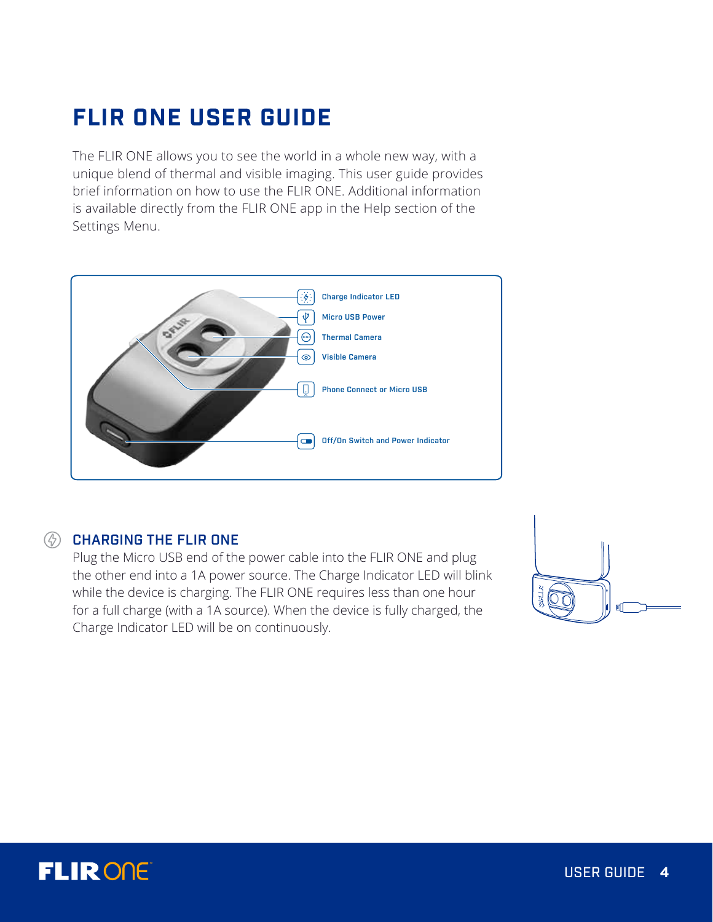# **FLIR ONE USER GUIDE**

The FLIR ONE allows you to see the world in a whole new way, with a unique blend of thermal and visible imaging. This user guide provides brief information on how to use the FLIR ONE. Additional information is available directly from the FLIR ONE app in the Help section of the Settings Menu.



## **(4) CHARGING THE FLIR ONE**

Plug the Micro USB end of the power cable into the FLIR ONE and plug the other end into a 1A power source. The Charge Indicator LED will blink while the device is charging. The FLIR ONE requires less than one hour for a full charge (with a 1A source). When the device is fully charged, the Charge Indicator LED will be on continuously.



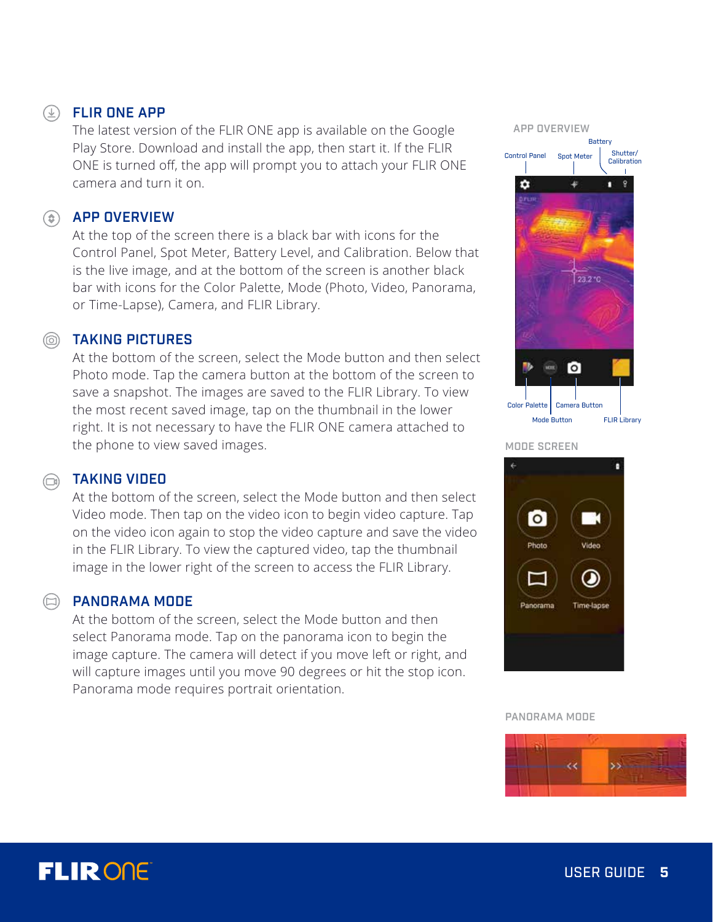## FLIR ONE APP

The latest version of the FLIR ONE app is available on the Google Play Store. Download and install the app, then start it. If the FLIR ONE is turned off, the app will prompt you to attach your FLIR ONE camera and turn it on.

## **(c)** APP OVERVIEW

At the top of the screen there is a black bar with icons for the Control Panel, Spot Meter, Battery Level, and Calibration. Below that is the live image, and at the bottom of the screen is another black bar with icons for the Color Palette, Mode (Photo, Video, Panorama, or Time-Lapse), Camera, and FLIR Library.

## **SOUTAKING PICTURES**

At the bottom of the screen, select the Mode button and then select Photo mode. Tap the camera button at the bottom of the screen to save a snapshot. The images are saved to the FLIR Library. To view the most recent saved image, tap on the thumbnail in the lower right. It is not necessary to have the FLIR ONE camera attached to the phone to view saved images.



#### MODE SCREEN

## TAKING VIDEO

At the bottom of the screen, select the Mode button and then select Video mode. Then tap on the video icon to begin video capture. Tap on the video icon again to stop the video capture and save the video in the FLIR Library. To view the captured video, tap the thumbnail image in the lower right of the screen to access the FLIR Library.

### PANORAMA MODE

At the bottom of the screen, select the Mode button and then select Panorama mode. Tap on the panorama icon to begin the image capture. The camera will detect if you move left or right, and will capture images until you move 90 degrees or hit the stop icon. Panorama mode requires portrait orientation.



PANORAMA MODE



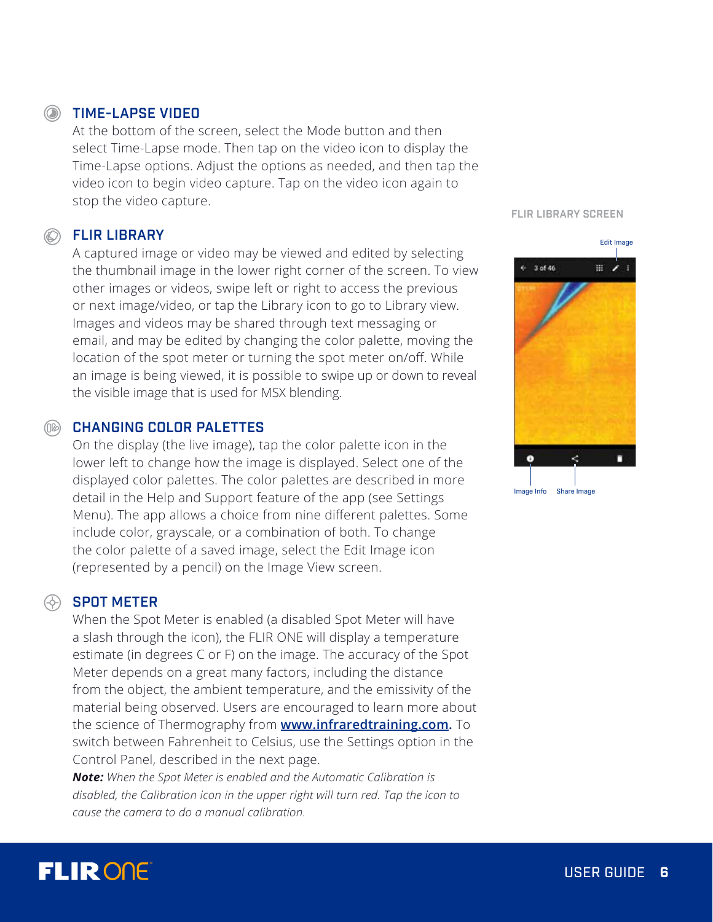## **SOUTHING-LAPSE VIDEO**

At the bottom of the screen, select the Mode button and then select Time-Lapse mode. Then tap on the video icon to display the Time-Lapse options. Adjust the options as needed, and then tap the video icon to begin video capture. Tap on the video icon again to stop the video capture.

## **SELIR LIBRARY**

A captured image or video may be viewed and edited by selecting the thumbnail image in the lower right corner of the screen. To view other images or videos, swipe left or right to access the previous or next image/video, or tap the Library icon to go to Library view. Images and videos may be shared through text messaging or email, and may be edited by changing the color palette, moving the location of the spot meter or turning the spot meter on/off. While an image is being viewed, it is possible to swipe up or down to reveal the visible image that is used for MSX blending.

#### CHANGING COLOR PALETTES  $(\cap \varnothing)$

On the display (the live image), tap the color palette icon in the lower left to change how the image is displayed. Select one of the displayed color palettes. The color palettes are described in more detail in the Help and Support feature of the app (see Settings Menu). The app allows a choice from nine different palettes. Some include color, grayscale, or a combination of both. To change the color palette of a saved image, select the Edit Image icon (represented by a pencil) on the Image View screen.

## **SPOT METER**

When the Spot Meter is enabled (a disabled Spot Meter will have a slash through the icon), the FLIR ONE will display a temperature estimate (in degrees C or F) on the image. The accuracy of the Spot Meter depends on a great many factors, including the distance from the object, the ambient temperature, and the emissivity of the material being observed. Users are encouraged to learn more about the science of Thermography from **www.infraredtraining.com.** To switch between Fahrenheit to Celsius, use the Settings option in the Control Panel, described in the next page.

*Note: When the Spot Meter is enabled and the Automatic Calibration is disabled, the Calibration icon in the upper right will turn red. Tap the icon to cause the camera to do a manual calibration.*

#### FLIR LIBRARY SCREEN



# **FLIRONE**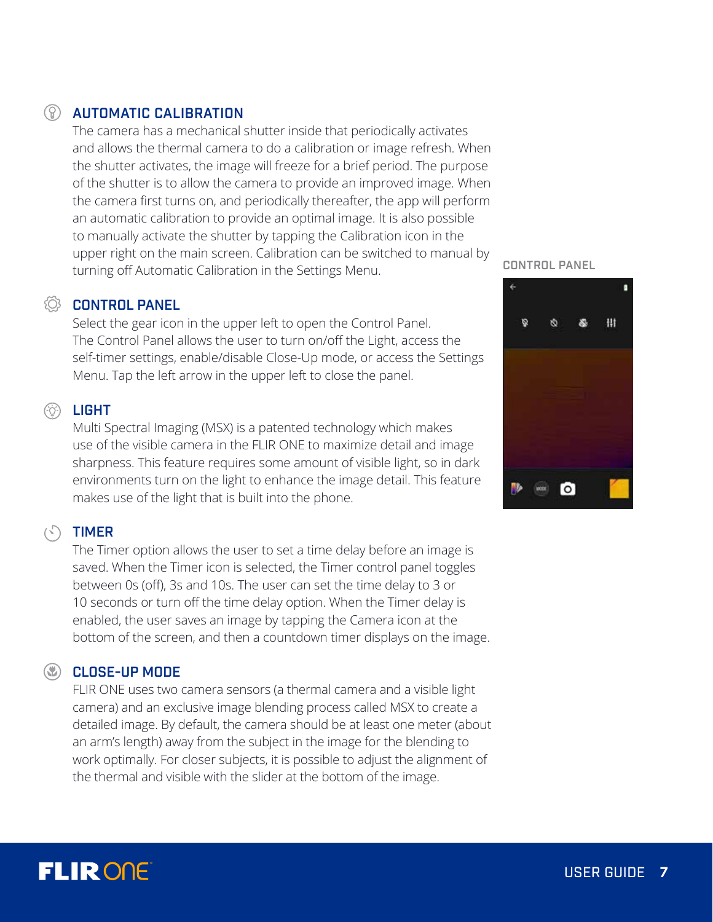## AUTOMATIC CALIBRATION

The camera has a mechanical shutter inside that periodically activates and allows the thermal camera to do a calibration or image refresh. When the shutter activates, the image will freeze for a brief period. The purpose of the shutter is to allow the camera to provide an improved image. When the camera first turns on, and periodically thereafter, the app will perform an automatic calibration to provide an optimal image. It is also possible to manually activate the shutter by tapping the Calibration icon in the upper right on the main screen. Calibration can be switched to manual by turning off Automatic Calibration in the Settings Menu.

### **CONTROL PANEL**

Select the gear icon in the upper left to open the Control Panel. The Control Panel allows the user to turn on/off the Light, access the self-timer settings, enable/disable Close-Up mode, or access the Settings Menu. Tap the left arrow in the upper left to close the panel.

## **<sup>(6)</sup>** LIGHT

Multi Spectral Imaging (MSX) is a patented technology which makes use of the visible camera in the FLIR ONE to maximize detail and image sharpness. This feature requires some amount of visible light, so in dark environments turn on the light to enhance the image detail. This feature makes use of the light that is built into the phone.

### (S) TIMER

The Timer option allows the user to set a time delay before an image is saved. When the Timer icon is selected, the Timer control panel toggles between 0s (off), 3s and 10s. The user can set the time delay to 3 or 10 seconds or turn off the time delay option. When the Timer delay is enabled, the user saves an image by tapping the Camera icon at the bottom of the screen, and then a countdown timer displays on the image.

### **(W)** CLOSE-UP MODE

FLIR ONE uses two camera sensors (a thermal camera and a visible light camera) and an exclusive image blending process called MSX to create a detailed image. By default, the camera should be at least one meter (about an arm's length) away from the subject in the image for the blending to work optimally. For closer subjects, it is possible to adjust the alignment of the thermal and visible with the slider at the bottom of the image.

CONTROL PANEL



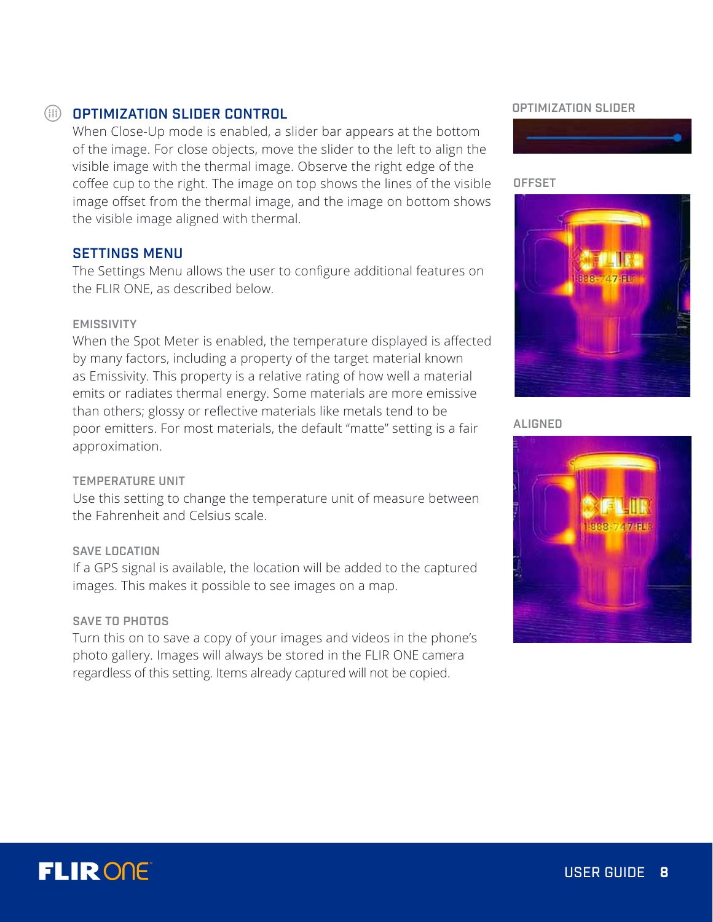## OPTIMIZATION SLIDER CONTROL

When Close-Up mode is enabled, a slider bar appears at the bottom of the image. For close objects, move the slider to the left to align the visible image with the thermal image. Observe the right edge of the coffee cup to the right. The image on top shows the lines of the visible image offset from the thermal image, and the image on bottom shows the visible image aligned with thermal.

### SETTINGS MENU

The Settings Menu allows the user to configure additional features on the FLIR ONE, as described below.

#### EMISSIVITY

When the Spot Meter is enabled, the temperature displayed is affected by many factors, including a property of the target material known as Emissivity. This property is a relative rating of how well a material emits or radiates thermal energy. Some materials are more emissive than others; glossy or reflective materials like metals tend to be poor emitters. For most materials, the default "matte" setting is a fair approximation.

#### TEMPERATURE UNIT

Use this setting to change the temperature unit of measure between the Fahrenheit and Celsius scale.

#### SAVE LOCATION

If a GPS signal is available, the location will be added to the captured images. This makes it possible to see images on a map.

#### SAVE TO PHOTOS

Turn this on to save a copy of your images and videos in the phone's photo gallery. Images will always be stored in the FLIR ONE camera regardless of this setting. Items already captured will not be copied.

#### OPTIMIZATION SLIDER



#### **OFFSET**



#### ALIGNED



# **FLIRONE**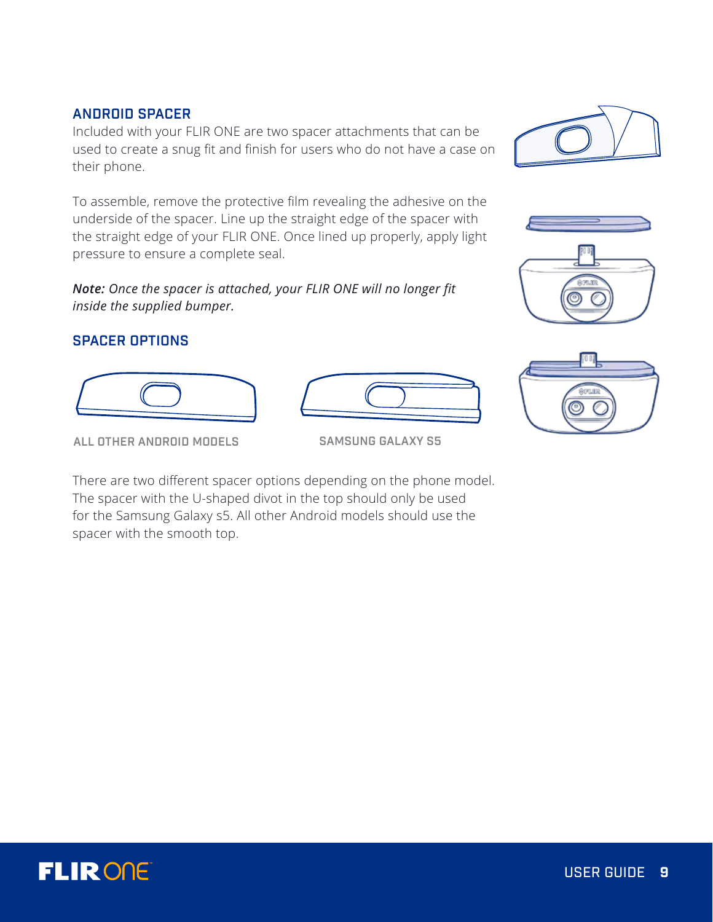## ANDROID SPACER

Included with your FLIR ONE are two spacer attachments that can be used to create a snug fit and finish for users who do not have a case on their phone.

To assemble, remove the protective film revealing the adhesive on the underside of the spacer. Line up the straight edge of the spacer with the straight edge of your FLIR ONE. Once lined up properly, apply light pressure to ensure a complete seal.

*Note: Once the spacer is attached, your FLIR ONE will no longer fit inside the supplied bumper.*

## SPACER OPTIONS



There are two different spacer options depending on the phone model. The spacer with the U-shaped divot in the top should only be used for the Samsung Galaxy s5. All other Android models should use the spacer with the smooth top.









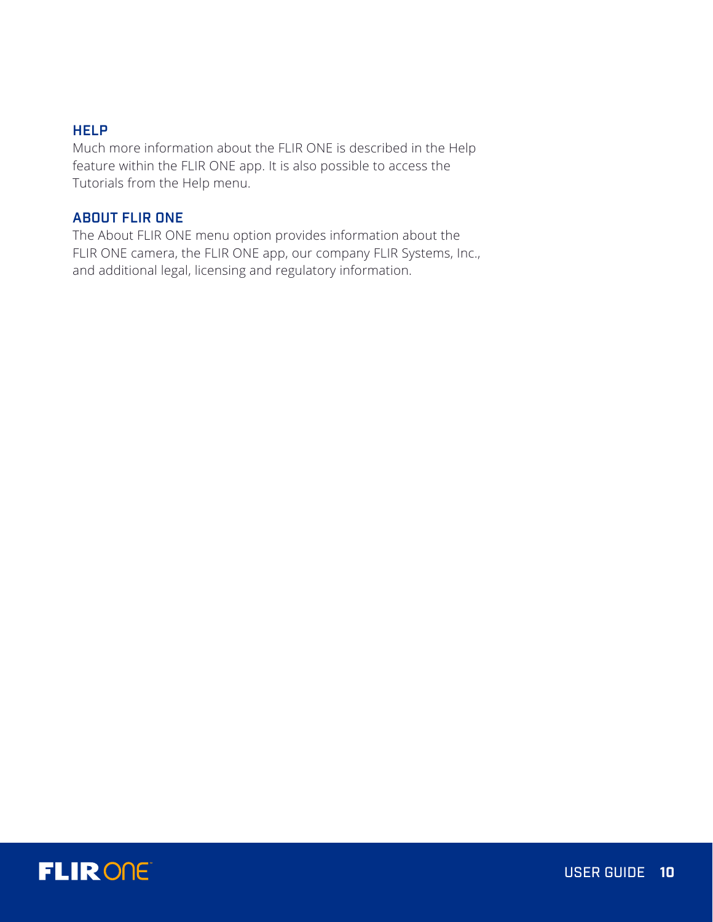## **HELP**

Much more information about the FLIR ONE is described in the Help feature within the FLIR ONE app. It is also possible to access the Tutorials from the Help menu.

## ABOUT FLIR ONE

The About FLIR ONE menu option provides information about the FLIR ONE camera, the FLIR ONE app, our company FLIR Systems, Inc., and additional legal, licensing and regulatory information.

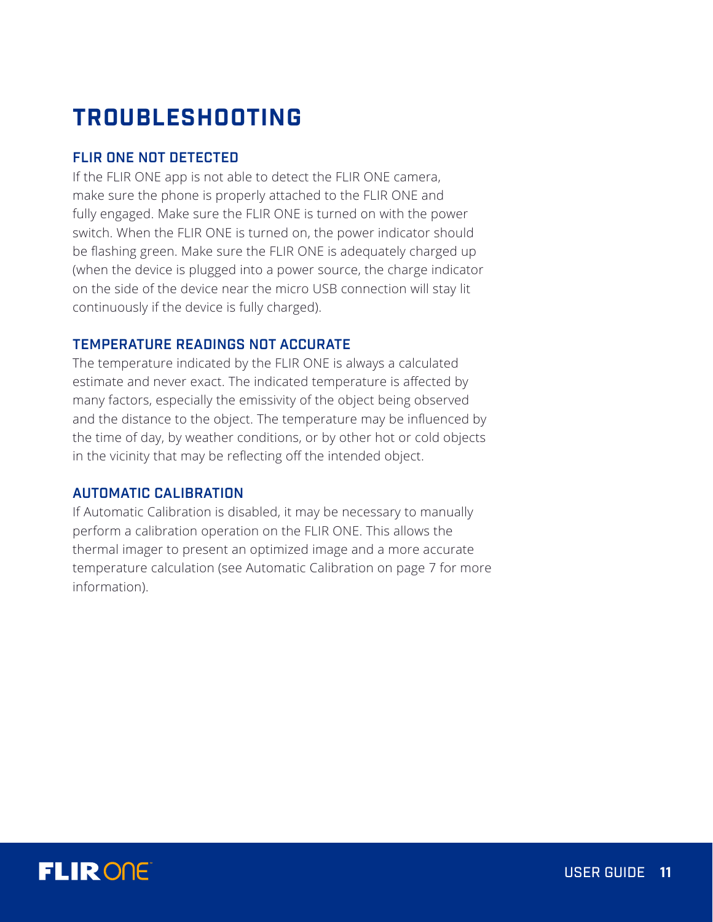# **TROUBLESHOOTING**

## FLIR ONE NOT DETECTED

If the FLIR ONE app is not able to detect the FLIR ONE camera, make sure the phone is properly attached to the FLIR ONE and fully engaged. Make sure the FLIR ONE is turned on with the power switch. When the FLIR ONE is turned on, the power indicator should be flashing green. Make sure the FLIR ONE is adequately charged up (when the device is plugged into a power source, the charge indicator on the side of the device near the micro USB connection will stay lit continuously if the device is fully charged).

### TEMPERATURE READINGS NOT ACCURATE

The temperature indicated by the FLIR ONE is always a calculated estimate and never exact. The indicated temperature is affected by many factors, especially the emissivity of the object being observed and the distance to the object. The temperature may be influenced by the time of day, by weather conditions, or by other hot or cold objects in the vicinity that may be reflecting off the intended object.

### AUTOMATIC CALIBRATION

If Automatic Calibration is disabled, it may be necessary to manually perform a calibration operation on the FLIR ONE. This allows the thermal imager to present an optimized image and a more accurate temperature calculation (see Automatic Calibration on page 7 for more information).